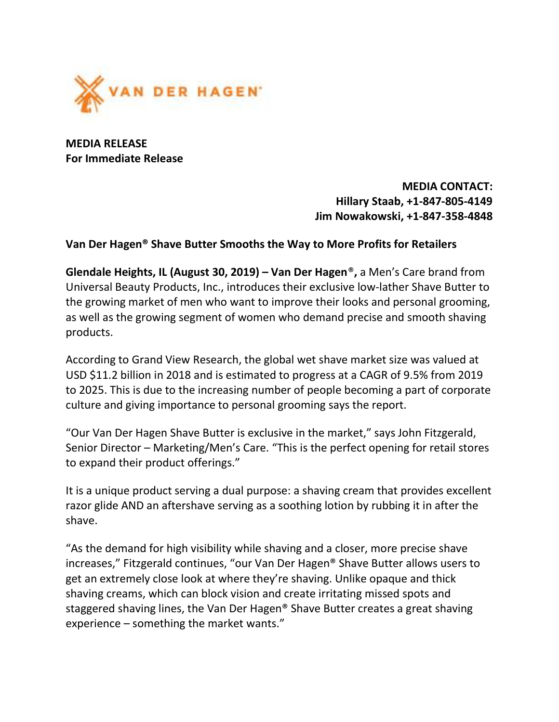

MEDIA RELEASE For Immediate Release

> MEDIA CONTACT: Hillary Staab, +1-847-805-4149 Jim Nowakowski, +1-847-358-4848

## Van Der Hagen® Shave Butter Smooths the Way to More Profits for Retailers

Glendale Heights, IL (August 30, 2019) – Van Der Hagen®, a Men's Care brand from Universal Beauty Products, Inc., introduces their exclusive low-lather Shave Butter to the growing market of men who want to improve their looks and personal grooming, as well as the growing segment of women who demand precise and smooth shaving products.

According to Grand View Research, the global wet shave market size was valued at USD \$11.2 billion in 2018 and is estimated to progress at a CAGR of 9.5% from 2019 to 2025. This is due to the increasing number of people becoming a part of corporate culture and giving importance to personal grooming says the report.

"Our Van Der Hagen Shave Butter is exclusive in the market," says John Fitzgerald, Senior Director – Marketing/Men's Care. "This is the perfect opening for retail stores to expand their product offerings."

It is a unique product serving a dual purpose: a shaving cream that provides excellent razor glide AND an aftershave serving as a soothing lotion by rubbing it in after the shave.

"As the demand for high visibility while shaving and a closer, more precise shave increases," Fitzgerald continues, "our Van Der Hagen® Shave Butter allows users to get an extremely close look at where they're shaving. Unlike opaque and thick shaving creams, which can block vision and create irritating missed spots and staggered shaving lines, the Van Der Hagen® Shave Butter creates a great shaving experience – something the market wants."